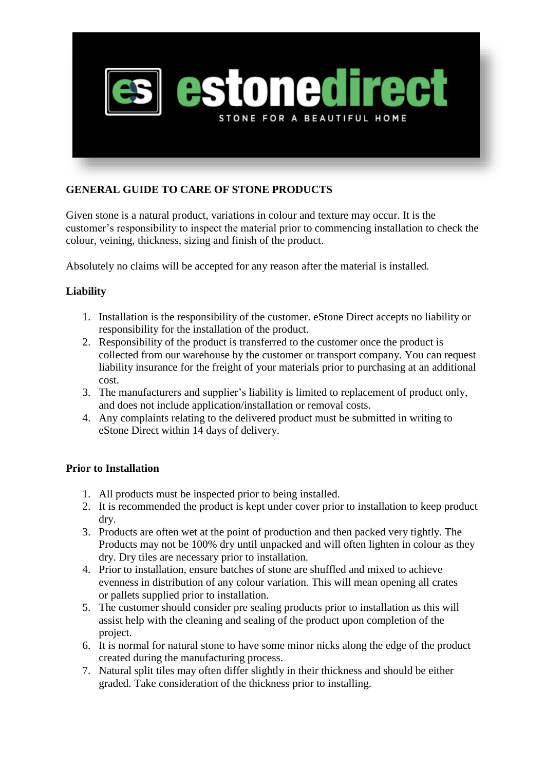

## **GENERAL GUIDE TO CARE OF STONE PRODUCTS**

Given stone is a natural product, variations in colour and texture may occur. It is the customer's responsibility to inspect the material prior to commencing installation to check the colour, veining, thickness, sizing and finish of the product.

Absolutely no claims will be accepted for any reason after the material is installed.

## **Liability**

- 1. Installation is the responsibility of the customer. eStone Direct accepts no liability or responsibility for the installation of the product.
- 2. Responsibility of the product is transferred to the customer once the product is collected from our warehouse by the customer or transport company. You can request liability insurance for the freight of your materials prior to purchasing at an additional cost.
- 3. The manufacturers and supplier's liability is limited to replacement of product only, and does not include application/installation or removal costs.
- 4. Any complaints relating to the delivered product must be submitted in writing to eStone Direct within 14 days of delivery.

## **Prior to Installation**

- 1. All products must be inspected prior to being installed.
- 2. It is recommended the product is kept under cover prior to installation to keep product dry.
- 3. Products are often wet at the point of production and then packed very tightly. The Products may not be 100% dry until unpacked and will often lighten in colour as they dry. Dry tiles are necessary prior to installation.
- 4. Prior to installation, ensure batches of stone are shuffled and mixed to achieve evenness in distribution of any colour variation. This will mean opening all crates or pallets supplied prior to installation.
- 5. The customer should consider pre sealing products prior to installation as this will assist help with the cleaning and sealing of the product upon completion of the project.
- 6. It is normal for natural stone to have some minor nicks along the edge of the product created during the manufacturing process.
- 7. Natural split tiles may often differ slightly in their thickness and should be either graded. Take consideration of the thickness prior to installing.